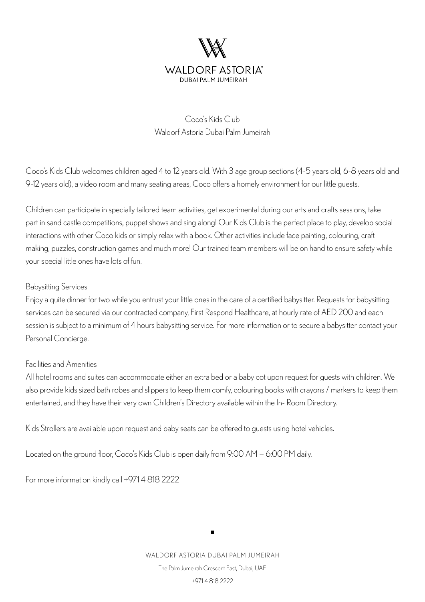

## Coco's Kids Club Waldorf Astoria Dubai Palm Jumeirah

Coco's Kids Club welcomes children aged 4 to 12 years old. With 3 age group sections (4-5 years old, 6-8 years old and 9-12 years old), a video room and many seating areas, Coco offers a homely environment for our little guests.

Children can participate in specially tailored team activities, get experimental during our arts and crafts sessions, take part in sand castle competitions, puppet shows and sing along! Our Kids Club is the perfect place to play, develop social interactions with other Coco kids or simply relax with a book. Other activities include face painting, colouring, craft making, puzzles, construction games and much more! Our trained team members will be on hand to ensure safety while your special little ones have lots of fun.

## Babysitting Services

Enjoy a quite dinner for two while you entrust your little ones in the care of a certified babysitter. Requests for babysitting services can be secured via our contracted company, First Respond Healthcare, at hourly rate of AED 200 and each session is subject to a minimum of 4 hours babysitting service. For more information or to secure a babysitter contact your Personal Concierge.

## Facilities and Amenities

All hotel rooms and suites can accommodate either an extra bed or a baby cot upon request for guests with children. We also provide kids sized bath robes and slippers to keep them comfy, colouring books with crayons / markers to keep them entertained, and they have their very own Children's Directory available within the In- Room Directory.

Kids Strollers are available upon request and baby seats can be offered to guests using hotel vehicles.

Located on the ground floor, Coco's Kids Club is open daily from 9:00 AM — 6:00 PM daily.

For more information kindly call +971 4 818 2222

WALDORF ASTORIA DUBAI PALM JUMEIRAH The Palm Jumeirah Crescent East, Dubai, UAE +971 4 818 2222